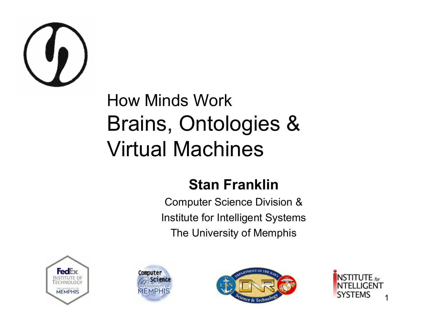

#### How Minds Work Brains, Ontologies & Virtual Machines

#### **Stan Franklin**

Computer Science Division & Institute for Intelligent Systems The University of Memphis







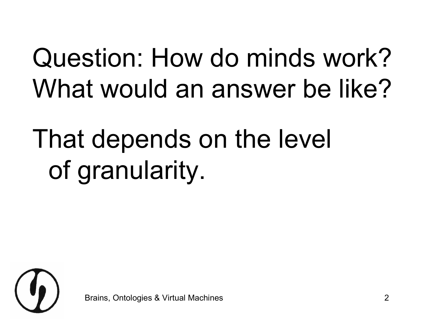#### Question: How do minds work? What would an answer be like?

### That depends on the level of granularity.

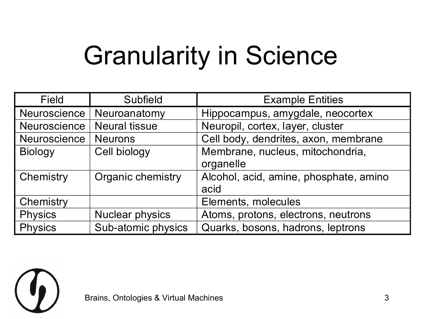#### Granularity in Science

| <b>Field</b>        | Subfield               | <b>Example Entities</b>                |
|---------------------|------------------------|----------------------------------------|
| Neuroscience        | Neuroanatomy           | Hippocampus, amygdale, neocortex       |
| <b>Neuroscience</b> | <b>Neural tissue</b>   | Neuropil, cortex, layer, cluster       |
| Neuroscience        | <b>Neurons</b>         | Cell body, dendrites, axon, membrane   |
| <b>Biology</b>      | Cell biology           | Membrane, nucleus, mitochondria,       |
|                     |                        | organelle                              |
| Chemistry           | Organic chemistry      | Alcohol, acid, amine, phosphate, amino |
|                     |                        | acid                                   |
| Chemistry           |                        | Elements, molecules                    |
| <b>Physics</b>      | <b>Nuclear physics</b> | Atoms, protons, electrons, neutrons    |
| <b>Physics</b>      | Sub-atomic physics     | Quarks, bosons, hadrons, leptrons      |

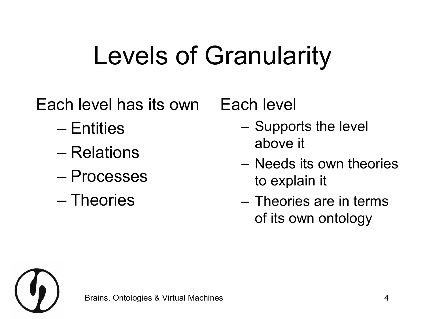#### Levels of Granularity

Each level has its own

- Entities
- Relations
- Processes
- Theories

Each level

- Supports the level above it
- Needs its own theories to explain it
- Theories are in terms of its own ontology

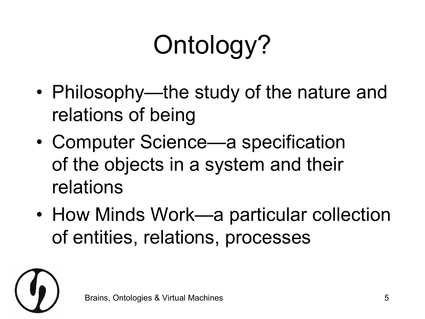## Ontology?

- Philosophy—the study of the nature and relations of being
- Computer Science—a specification of the objects in a system and their relations
- How Minds Work—a particular collection of entities, relations, processes

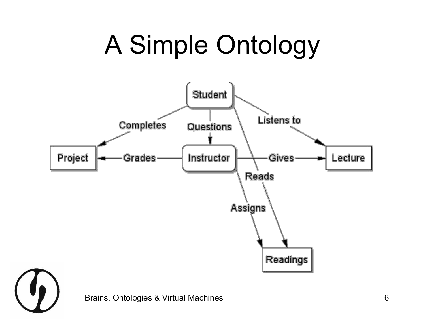#### A Simple Ontology



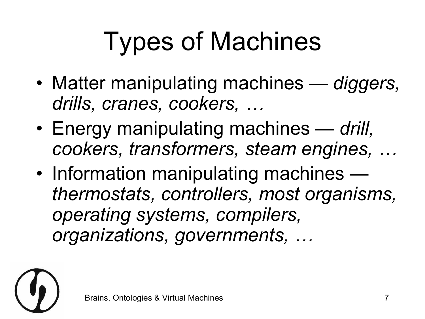# Types of Machines

- Matter manipulating machines *diggers, drills, cranes, cookers, …*
- Energy manipulating machines — *drill, cookers, transformers, steam engines, …*
- Information manipulating machines *thermostats, controllers, most organisms, operating systems, compilers, organizations, governments, …*

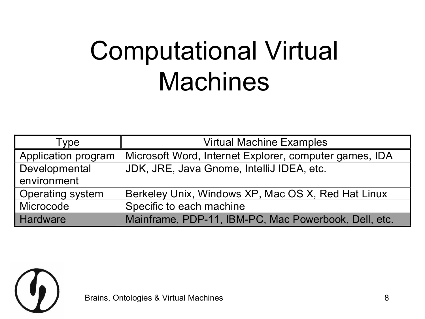#### Computational Virtual **Machines**

| Type                    | <b>Virtual Machine Examples</b>                        |
|-------------------------|--------------------------------------------------------|
| Application program     | Microsoft Word, Internet Explorer, computer games, IDA |
| Developmental           | JDK, JRE, Java Gnome, IntelliJ IDEA, etc.              |
| environment             |                                                        |
| <b>Operating system</b> | Berkeley Unix, Windows XP, Mac OS X, Red Hat Linux     |
| Microcode               | Specific to each machine                               |
| <b>Hardware</b>         | Mainframe, PDP-11, IBM-PC, Mac Powerbook, Dell, etc.   |

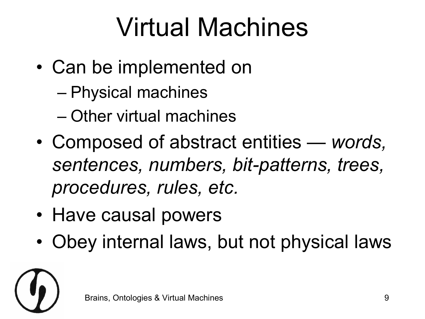#### Virtual Machines

- Can be implemented on
	- Physical machines
	- Other virtual machines
- Composed of abstract entities — *words,*  sentences, numbers, bit-patterns, trees, *procedures, rules, etc.*
- Have causal powers
- Obey internal laws, but not physical laws

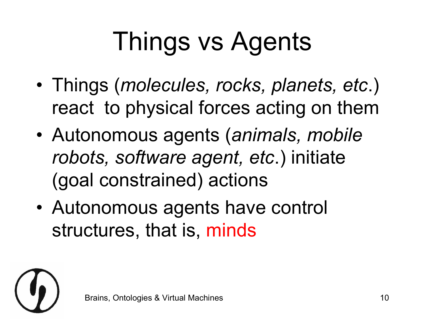## Things vs Agents

- Things (*molecules, rocks, planets, etc*.) react to physical forces acting on them
- Autonomous agents (*animals, mobile robots, software agent, etc*.) initiate (goal constrained) actions
- Autonomous agents have control structures, that is, minds

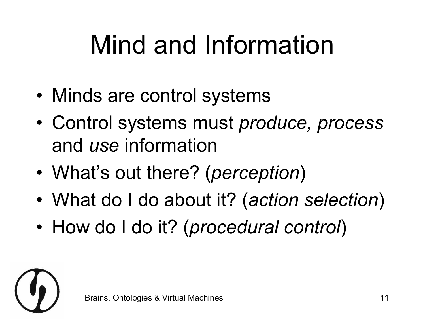#### Mind and Information

- Minds are control systems
- Control systems must *produce, process* and *use* information
- What's out there? (*perception*)
- What do I do about it? (*action selection*)
- How do I do it? (*procedural control*)

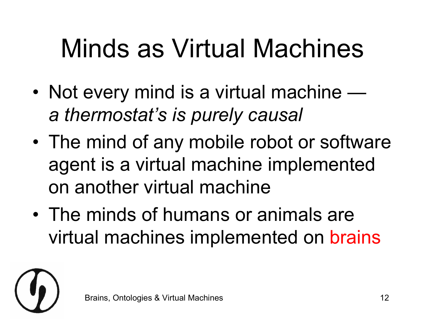#### Minds as Virtual Machines

- Not every mind is a virtual machine *a thermostat's is purely causal*
- The mind of any mobile robot or software agent is a virtual machine implemented on another virtual machine
- The minds of humans or animals are virtual machines implemented on brains

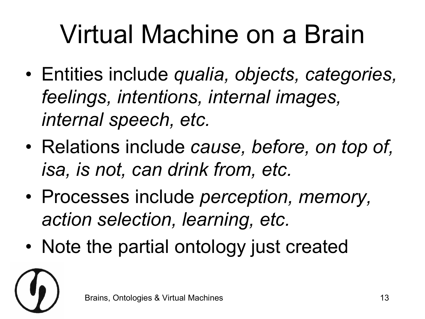#### Virtual Machine on a Brain

- Entities include *qualia, objects, categories, feelings, intentions, internal images, internal speech, etc.*
- Relations include *cause, before, on top of, isa, is not, can drink from, etc.*
- Processes include *perception, memory, action selection, learning, etc.*
- Note the partial ontology just created

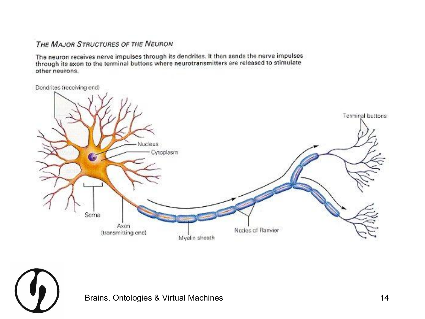#### THE MAJOR STRUCTURES OF THE NEURON

The neuron receives nerve impulses through its dendrites. It then sends the nerve impulses through its axon to the terminal buttons where neurotransmitters are released to stimulate other neurons.

Dendrites (receiving end)



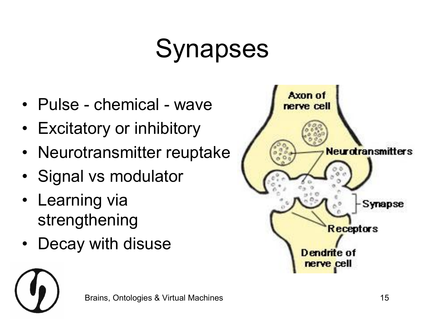#### Synapses

- Pulse chemical wave
- Excitatory or inhibitory
- Neurotransmitter reuptake
- Signal vs modulator
- Learning via strengthening
- Decay with disuse



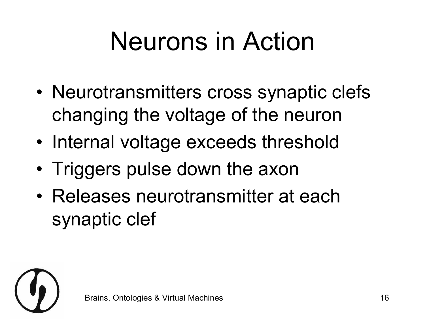#### Neurons in Action

- Neurotransmitters cross synaptic clefs changing the voltage of the neuron
- Internal voltage exceeds threshold
- Triggers pulse down the axon
- Releases neurotransmitter at each synaptic clef

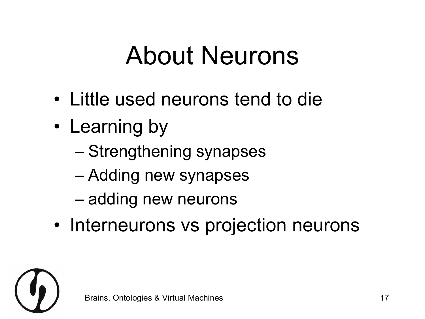#### About Neurons

- Little used neurons tend to die
- Learning by
	- Strengthening synapses
	- Adding new synapses
	- adding new neurons
- Interneurons vs projection neurons

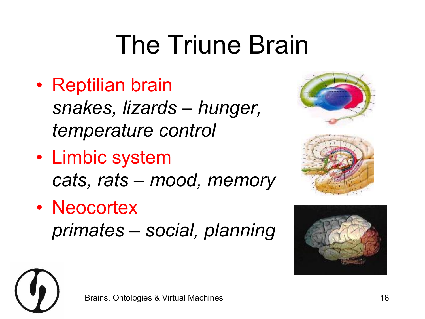#### The Triune Brain

- Reptilian brain *snakes, lizards – hunger, temperature control*
- Limbic system *cats, rats – mood, memory*
- Neocortex *primates – social, planning*





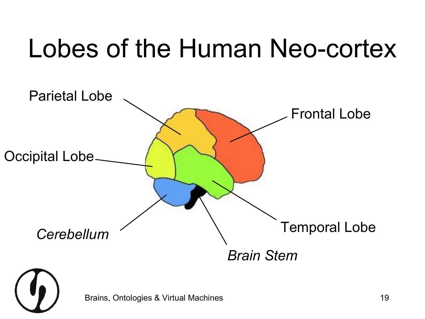#### Lobes of the Human Neo-cortex

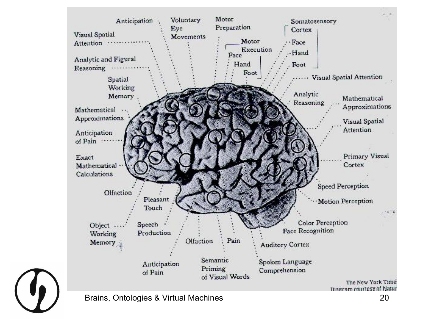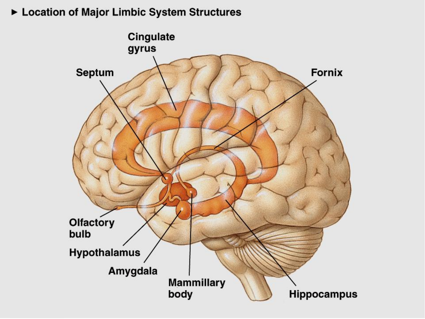► Location of Major Limbic System Structures

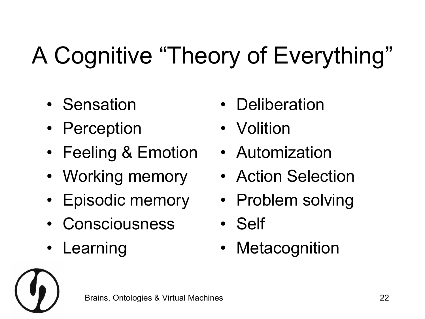#### A Cognitive "Theory of Everything"

- Sensation
- Perception
- Feeling & Emotion
- Working memory
- Episodic memory
- Consciousness
- **Learning**
- **Deliberation**
- **Volition**
- Automization
- Action Selection
- Problem solving
- Self
- **Metacognition**

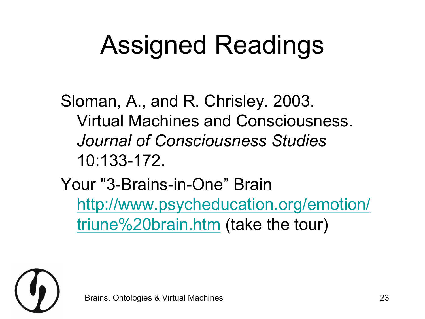#### Assigned Readings

Sloman, A., and R. Chrisley. 2003. Virtual Machines and Consciousness. *Journal of Consciousness Studies* 10:133-172.

Your "3-Brains-in-One" Brain [http://www.psycheducation.org/emotion/](http://www.psycheducation.org/emotion/triune brain.htm) triune%20brain.htm (take the tour)